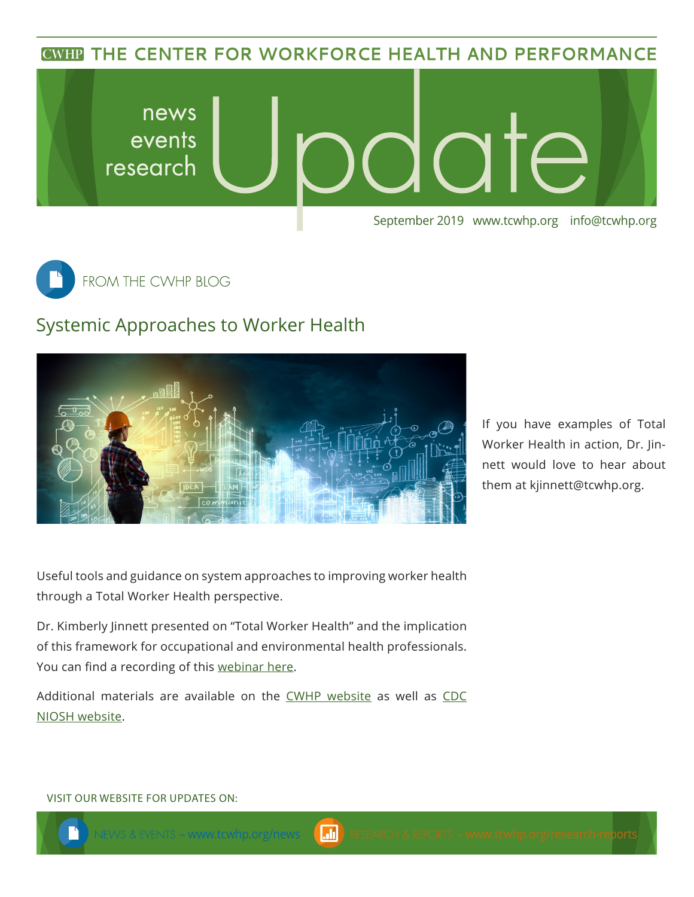**CWHP THE CENTER FOR WORKFORCE HEALTH AND PERFORMANCE** 





## Systemic Approaches to Worker Health



If you have examples of Total Worker Health in action, Dr. Jinnett would love to hear about them at [kjinnett@tcwhp.org.](mailto:kjinnett@tcwhp.org)

Useful tools and guidance on system approaches to improving worker health through a Total Worker Health perspective.

Dr. Kimberly Jinnett presented on "Total Worker Health" and the implication of this framework for occupational and environmental health professionals. You can find a recording of this [webinar here](https://www.coeh.berkeley.edu/19web1002).

Additional materials are available on the [CWHP website](https://www.tcwhp.org/worker-well-being-and-high-performance-workplaces-two-sides-same-coin) as well as [CDC](https://www.cdc.gov/niosh/twh/default.html)  [NIOSH website](https://www.cdc.gov/niosh/twh/default.html).

## VISIT OUR WEBSITE FOR UPDATES ON: